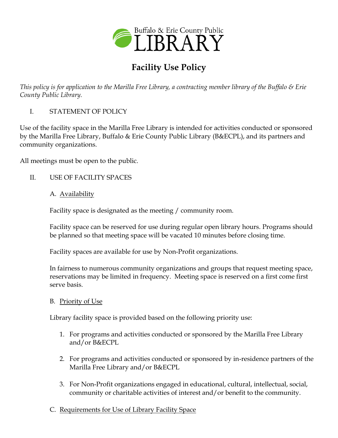

# **Facility Use Policy**

*This policy is for application to the Marilla Free Library, a contracting member library of the Buffalo & Erie County Public Library.*

I. STATEMENT OF POLICY

Use of the facility space in the Marilla Free Library is intended for activities conducted or sponsored by the Marilla Free Library, Buffalo & Erie County Public Library (B&ECPL), and its partners and community organizations.

All meetings must be open to the public.

- II. USE OF FACILITY SPACES
	- A. Availability

Facility space is designated as the meeting / community room.

Facility space can be reserved for use during regular open library hours. Programs should be planned so that meeting space will be vacated 10 minutes before closing time.

Facility spaces are available for use by Non-Profit organizations.

In fairness to numerous community organizations and groups that request meeting space, reservations may be limited in frequency. Meeting space is reserved on a first come first serve basis.

#### B. Priority of Use

Library facility space is provided based on the following priority use:

- 1. For programs and activities conducted or sponsored by the Marilla Free Library and/or B&ECPL
- 2. For programs and activities conducted or sponsored by in-residence partners of the Marilla Free Library and/or B&ECPL
- 3. For Non-Profit organizations engaged in educational, cultural, intellectual, social, community or charitable activities of interest and/or benefit to the community.
- C. Requirements for Use of Library Facility Space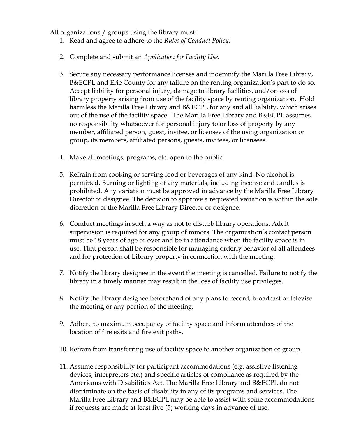All organizations / groups using the library must:

- 1. Read and agree to adhere to the *Rules of Conduct Policy.*
- 2. Complete and submit an *Application for Facility Use.*
- 3. Secure any necessary performance licenses and indemnify the Marilla Free Library, B&ECPL and Erie County for any failure on the renting organization's part to do so. Accept liability for personal injury, damage to library facilities, and/or loss of library property arising from use of the facility space by renting organization. Hold harmless the Marilla Free Library and B&ECPL for any and all liability, which arises out of the use of the facility space. The Marilla Free Library and B&ECPL assumes no responsibility whatsoever for personal injury to or loss of property by any member, affiliated person, guest, invitee, or licensee of the using organization or group, its members, affiliated persons, guests, invitees, or licensees.
- 4. Make all meetings, programs, etc. open to the public.
- 5. Refrain from cooking or serving food or beverages of any kind. No alcohol is permitted. Burning or lighting of any materials, including incense and candles is prohibited. Any variation must be approved in advance by the Marilla Free Library Director or designee. The decision to approve a requested variation is within the sole discretion of the Marilla Free Library Director or designee.
- 6. Conduct meetings in such a way as not to disturb library operations. Adult supervision is required for any group of minors. The organization's contact person must be 18 years of age or over and be in attendance when the facility space is in use. That person shall be responsible for managing orderly behavior of all attendees and for protection of Library property in connection with the meeting.
- 7. Notify the library designee in the event the meeting is cancelled. Failure to notify the library in a timely manner may result in the loss of facility use privileges.
- 8. Notify the library designee beforehand of any plans to record, broadcast or televise the meeting or any portion of the meeting.
- 9. Adhere to maximum occupancy of facility space and inform attendees of the location of fire exits and fire exit paths.
- 10. Refrain from transferring use of facility space to another organization or group.
- 11. Assume responsibility for participant accommodations (e.g. assistive listening devices, interpreters etc.) and specific articles of compliance as required by the Americans with Disabilities Act. The Marilla Free Library and B&ECPL do not discriminate on the basis of disability in any of its programs and services. The Marilla Free Library and B&ECPL may be able to assist with some accommodations if requests are made at least five (5) working days in advance of use.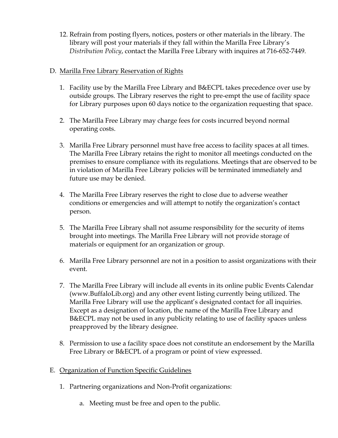12. Refrain from posting flyers, notices, posters or other materials in the library. The library will post your materials if they fall within the Marilla Free Library's *Distribution Policy*, contact the Marilla Free Library with inquires at 716-652-7449.

### D. Marilla Free Library Reservation of Rights

- 1. Facility use by the Marilla Free Library and B&ECPL takes precedence over use by outside groups. The Library reserves the right to pre-empt the use of facility space for Library purposes upon 60 days notice to the organization requesting that space.
- 2. The Marilla Free Library may charge fees for costs incurred beyond normal operating costs.
- 3. Marilla Free Library personnel must have free access to facility spaces at all times. The Marilla Free Library retains the right to monitor all meetings conducted on the premises to ensure compliance with its regulations. Meetings that are observed to be in violation of Marilla Free Library policies will be terminated immediately and future use may be denied.
- 4. The Marilla Free Library reserves the right to close due to adverse weather conditions or emergencies and will attempt to notify the organization's contact person.
- 5. The Marilla Free Library shall not assume responsibility for the security of items brought into meetings. The Marilla Free Library will not provide storage of materials or equipment for an organization or group.
- 6. Marilla Free Library personnel are not in a position to assist organizations with their event.
- 7. The Marilla Free Library will include all events in its online public Events Calendar (www.BuffaloLib.org) and any other event listing currently being utilized. The Marilla Free Library will use the applicant's designated contact for all inquiries. Except as a designation of location, the name of the Marilla Free Library and B&ECPL may not be used in any publicity relating to use of facility spaces unless preapproved by the library designee.
- 8. Permission to use a facility space does not constitute an endorsement by the Marilla Free Library or B&ECPL of a program or point of view expressed.
- E. Organization of Function Specific Guidelines
	- 1. Partnering organizations and Non-Profit organizations:
		- a. Meeting must be free and open to the public.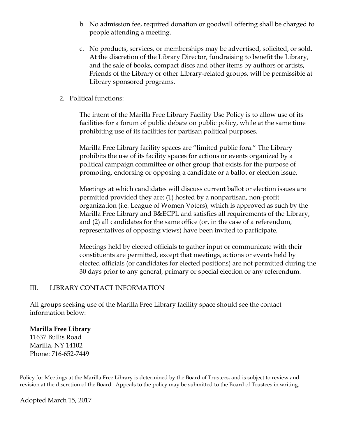- b. No admission fee, required donation or goodwill offering shall be charged to people attending a meeting.
- c. No products, services, or memberships may be advertised, solicited, or sold. At the discretion of the Library Director, fundraising to benefit the Library, and the sale of books, compact discs and other items by authors or artists, Friends of the Library or other Library-related groups, will be permissible at Library sponsored programs.
- 2. Political functions:

The intent of the Marilla Free Library Facility Use Policy is to allow use of its facilities for a forum of public debate on public policy, while at the same time prohibiting use of its facilities for partisan political purposes.

Marilla Free Library facility spaces are "limited public fora." The Library prohibits the use of its facility spaces for actions or events organized by a political campaign committee or other group that exists for the purpose of promoting, endorsing or opposing a candidate or a ballot or election issue.

Meetings at which candidates will discuss current ballot or election issues are permitted provided they are: (1) hosted by a nonpartisan, non-profit organization (i.e. League of Women Voters), which is approved as such by the Marilla Free Library and B&ECPL and satisfies all requirements of the Library, and (2) all candidates for the same office (or, in the case of a referendum, representatives of opposing views) have been invited to participate.

Meetings held by elected officials to gather input or communicate with their constituents are permitted, except that meetings, actions or events held by elected officials (or candidates for elected positions) are not permitted during the 30 days prior to any general, primary or special election or any referendum.

#### III. LIBRARY CONTACT INFORMATION

All groups seeking use of the Marilla Free Library facility space should see the contact information below:

## **Marilla Free Library**

11637 Bullis Road Marilla, NY 14102 Phone: 716-652-7449

Policy for Meetings at the Marilla Free Library is determined by the Board of Trustees, and is subject to review and revision at the discretion of the Board. Appeals to the policy may be submitted to the Board of Trustees in writing.

Adopted March 15, 2017